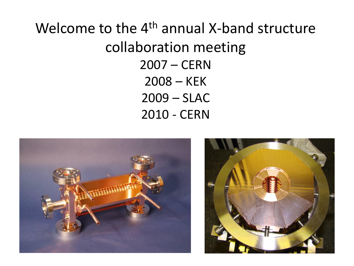Welcome to the 4<sup>th</sup> annual X-band structure collaboration meeting 2007 – CERN 2008 – KEK 2009 – SLAC 2010 - CERN



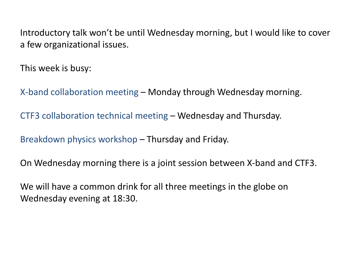Introductory talk won't be until Wednesday morning, but I would like to cover a few organizational issues.

This week is busy:

X-band collaboration meeting – Monday through Wednesday morning.

CTF3 collaboration technical meeting – Wednesday and Thursday.

Breakdown physics workshop – Thursday and Friday.

On Wednesday morning there is a joint session between X-band and CTF3.

We will have a common drink for all three meetings in the globe on Wednesday evening at 18:30.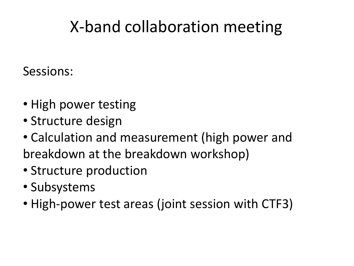## X-band collaboration meeting

## Sessions:

- High power testing
- Structure design
- Calculation and measurement (high power and breakdown at the breakdown workshop)
- Structure production
- Subsystems
- High-power test areas (joint session with CTF3)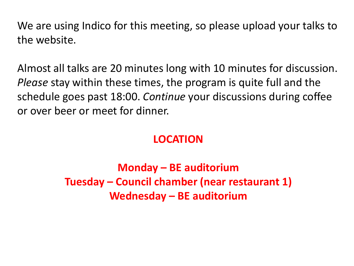We are using Indico for this meeting, so please upload your talks to the website.

Almost all talks are 20 minutes long with 10 minutes for discussion. *Please* stay within these times, the program is quite full and the schedule goes past 18:00. *Continue* your discussions during coffee or over beer or meet for dinner.

## **LOCATION**

**Monday – BE auditorium Tuesday – Council chamber (near restaurant 1) Wednesday – BE auditorium**